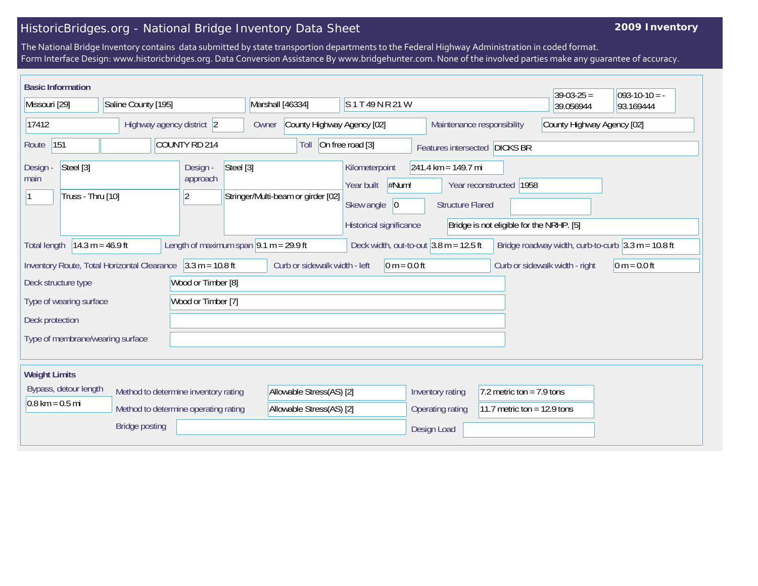## HistoricBridges.org - National Bridge Inventory Data Sheet

## **2009 Inventory**

The National Bridge Inventory contains data submitted by state transportion departments to the Federal Highway Administration in coded format. Form Interface Design: www.historicbridges.org. Data Conversion Assistance By www.bridgehunter.com. None of the involved parties make any guarantee of accuracy.

|                                                                                                               | <b>Basic Information</b> |                                  |                                                                                           |                                                 |       |                                                                                                                                                                                                                                 |                                                                                                                  |                  |                               | $39-03-25 =$               | $093-10-10 = -$ |  |
|---------------------------------------------------------------------------------------------------------------|--------------------------|----------------------------------|-------------------------------------------------------------------------------------------|-------------------------------------------------|-------|---------------------------------------------------------------------------------------------------------------------------------------------------------------------------------------------------------------------------------|------------------------------------------------------------------------------------------------------------------|------------------|-------------------------------|----------------------------|-----------------|--|
| Missouri [29]                                                                                                 |                          | Saline County [195]              |                                                                                           |                                                 |       | Marshall [46334]<br>S1T49NR21W                                                                                                                                                                                                  |                                                                                                                  |                  |                               | 39.056944                  | 93.169444       |  |
| 17412                                                                                                         |                          | Highway agency district 2        |                                                                                           |                                                 | Owner | County Highway Agency [02]                                                                                                                                                                                                      |                                                                                                                  |                  | Maintenance responsibility    | County Highway Agency [02] |                 |  |
| Route                                                                                                         | 151<br>COUNTY RD 214     |                                  |                                                                                           |                                                 |       | On free road [3]<br>Toll                                                                                                                                                                                                        |                                                                                                                  |                  | Features intersected DICKS BR |                            |                 |  |
| Steel [3]<br>Design -<br>main<br>Truss - Thru [10]                                                            |                          |                                  | Steel [3]<br>Design -<br>approach<br>$\overline{2}$<br>Stringer/Multi-beam or girder [02] |                                                 |       | Kilometerpoint<br>$241.4 \text{ km} = 149.7 \text{ mi}$<br>#Num!<br>Year built<br>Year reconstructed 1958<br>Skew angle<br> 0<br><b>Structure Flared</b><br>Historical significance<br>Bridge is not eligible for the NRHP. [5] |                                                                                                                  |                  |                               |                            |                 |  |
| $14.3 m = 46.9 ft$<br>Length of maximum span $ 9.1 \text{ m} = 29.9 \text{ ft}$<br><b>Total length</b>        |                          |                                  |                                                                                           |                                                 |       |                                                                                                                                                                                                                                 | Deck width, out-to-out $3.8$ m = 12.5 ft<br>Bridge roadway width, curb-to-curb $3.3 \text{ m} = 10.8 \text{ ft}$ |                  |                               |                            |                 |  |
| $3.3 m = 10.8 ft$<br>Inventory Route, Total Horizontal Clearance<br>Wood or Timber [8]<br>Deck structure type |                          |                                  |                                                                                           | Curb or sidewalk width - left<br>$0 m = 0.0 ft$ |       |                                                                                                                                                                                                                                 | Curb or sidewalk width - right                                                                                   | $0 m = 0.0 ft$   |                               |                            |                 |  |
| Wood or Timber [7]<br>Type of wearing surface                                                                 |                          |                                  |                                                                                           |                                                 |       |                                                                                                                                                                                                                                 |                                                                                                                  |                  |                               |                            |                 |  |
| Deck protection                                                                                               |                          |                                  |                                                                                           |                                                 |       |                                                                                                                                                                                                                                 |                                                                                                                  |                  |                               |                            |                 |  |
|                                                                                                               |                          | Type of membrane/wearing surface |                                                                                           |                                                 |       |                                                                                                                                                                                                                                 |                                                                                                                  |                  |                               |                            |                 |  |
| <b>Weight Limits</b>                                                                                          |                          |                                  |                                                                                           |                                                 |       |                                                                                                                                                                                                                                 |                                                                                                                  |                  |                               |                            |                 |  |
| Bypass, detour length                                                                                         |                          |                                  |                                                                                           | Method to determine inventory rating            |       | Allowable Stress(AS) [2]                                                                                                                                                                                                        |                                                                                                                  | Inventory rating | 7.2 metric ton = $7.9$ tons   |                            |                 |  |
| $0.8 \text{ km} = 0.5 \text{ mi}$                                                                             |                          |                                  | Method to determine operating rating                                                      |                                                 |       | Allowable Stress(AS) [2]                                                                                                                                                                                                        |                                                                                                                  | Operating rating | 11.7 metric ton = $12.9$ tons |                            |                 |  |
| <b>Bridge posting</b>                                                                                         |                          |                                  |                                                                                           |                                                 |       | Design Load                                                                                                                                                                                                                     |                                                                                                                  |                  |                               |                            |                 |  |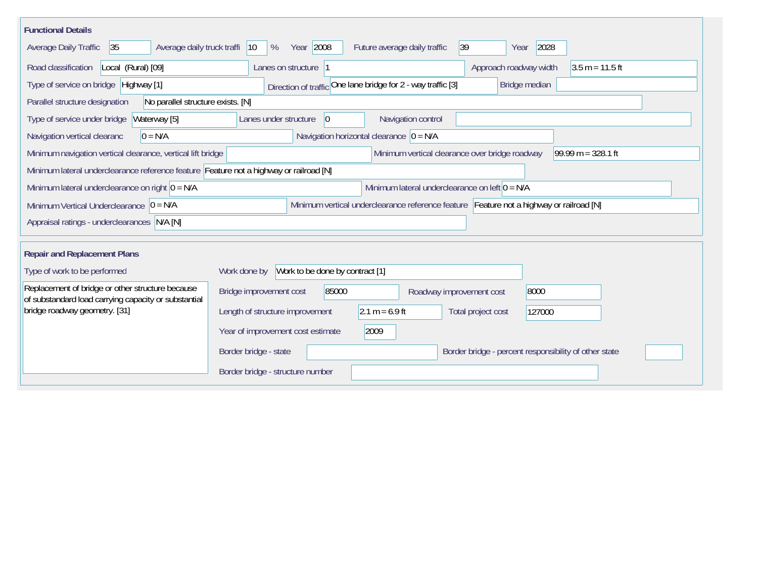| <b>Functional Details</b>                                                                                                             |                                                                                         |  |  |  |  |  |  |  |  |  |
|---------------------------------------------------------------------------------------------------------------------------------------|-----------------------------------------------------------------------------------------|--|--|--|--|--|--|--|--|--|
| Average daily truck traffi<br> 35 <br>Average Daily Traffic                                                                           | Year 2008<br>2028<br> 39 <br>$ 10\rangle$<br>%<br>Future average daily traffic<br>Year  |  |  |  |  |  |  |  |  |  |
| Road classification<br>Local (Rural) [09]                                                                                             | Approach roadway width<br>$3.5 m = 11.5 ft$<br>Lanes on structure 1                     |  |  |  |  |  |  |  |  |  |
| Type of service on bridge Highway [1]                                                                                                 | Direction of traffic One lane bridge for 2 - way traffic [3]<br>Bridge median           |  |  |  |  |  |  |  |  |  |
| No parallel structure exists. [N]<br>Parallel structure designation                                                                   |                                                                                         |  |  |  |  |  |  |  |  |  |
| Type of service under bridge<br>Waterway [5]                                                                                          | Navigation control<br>$ 0\rangle$<br>Lanes under structure                              |  |  |  |  |  |  |  |  |  |
| Navigation horizontal clearance $ 0 = N/A$<br>$0 = N/A$<br>Navigation vertical clearanc                                               |                                                                                         |  |  |  |  |  |  |  |  |  |
| 99.99 m = $328.1$ ft<br>Minimum vertical clearance over bridge roadway<br>Minimum navigation vertical clearance, vertical lift bridge |                                                                                         |  |  |  |  |  |  |  |  |  |
| Minimum lateral underclearance reference feature Feature not a highway or railroad [N]                                                |                                                                                         |  |  |  |  |  |  |  |  |  |
| Minimum lateral underclearance on left $0 = N/A$<br>Minimum lateral underclearance on right $0 = N/A$                                 |                                                                                         |  |  |  |  |  |  |  |  |  |
| Minimum Vertical Underclearance $ 0 = N/A$                                                                                            | Minimum vertical underclearance reference feature Feature not a highway or railroad [N] |  |  |  |  |  |  |  |  |  |
| Appraisal ratings - underclearances N/A [N]                                                                                           |                                                                                         |  |  |  |  |  |  |  |  |  |
|                                                                                                                                       |                                                                                         |  |  |  |  |  |  |  |  |  |
| <b>Repair and Replacement Plans</b>                                                                                                   |                                                                                         |  |  |  |  |  |  |  |  |  |
| Type of work to be performed                                                                                                          | Work to be done by contract [1]<br>Work done by                                         |  |  |  |  |  |  |  |  |  |
| Replacement of bridge or other structure because<br>of substandard load carrying capacity or substantial                              | Bridge improvement cost<br>85000<br>8000<br>Roadway improvement cost                    |  |  |  |  |  |  |  |  |  |
| bridge roadway geometry. [31]                                                                                                         | Length of structure improvement<br>$2.1 m = 6.9 ft$<br>Total project cost<br>127000     |  |  |  |  |  |  |  |  |  |
|                                                                                                                                       | Year of improvement cost estimate<br>2009                                               |  |  |  |  |  |  |  |  |  |
|                                                                                                                                       | Border bridge - state<br>Border bridge - percent responsibility of other state          |  |  |  |  |  |  |  |  |  |
|                                                                                                                                       | Border bridge - structure number                                                        |  |  |  |  |  |  |  |  |  |